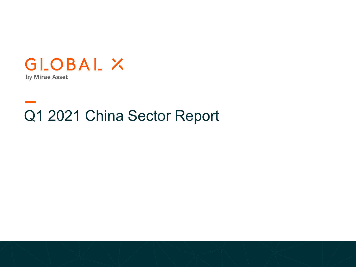

Q1 2021 China Sector Report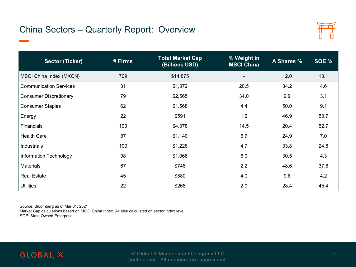## China Sectors – Quarterly Report: Overview



| <b>Sector (Ticker)</b>        | # Firms | <b>Total Market Cap</b><br>(Billions USD) | % Weight in<br><b>MSCI China</b> | A Shares % | SOE % |
|-------------------------------|---------|-------------------------------------------|----------------------------------|------------|-------|
| MSCI China Index (MXCN)       | 709     | \$14,875                                  | ۰                                | 12.0       | 13.1  |
| <b>Communication Services</b> | 31      | \$1,372                                   | 20.5                             | 34.2       | 4.6   |
| <b>Consumer Discretionary</b> | 79      | \$2,565                                   | 34.0                             | 9.9        | 3.1   |
| <b>Consumer Staples</b>       | 62      | \$1,568                                   | 4.4                              | 50.0       | 9.1   |
| Energy                        | 22      | \$591                                     | 1.2                              | 46.9       | 53.7  |
| <b>Financials</b>             | 103     | \$4,378                                   | 14.5                             | 20.4       | 52.7  |
| <b>Health Care</b>            | 87      | \$1,140                                   | 6.7                              | 24.9       | 7.0   |
| Industrials                   | 100     | \$1,228                                   | 4.7                              | 33.8       | 24.8  |
| Information Technology        | 98      | \$1,066                                   | 6.0                              | 30.5       | 4.3   |
| <b>Materials</b>              | 67      | \$746                                     | 2.2                              | 48.6       | 37.6  |
| <b>Real Estate</b>            | 45      | \$580                                     | 4.0                              | 9.6        | 4.2   |
| <b>Utilities</b>              | 22      | \$266                                     | 2.0                              | 28.4       | 45.4  |

Source: Bloomberg as of Mar 31, 2021

Market Cap calculations based on MSCI China Index. All else calculated on sector index level. SOE: State Owned Enterprise

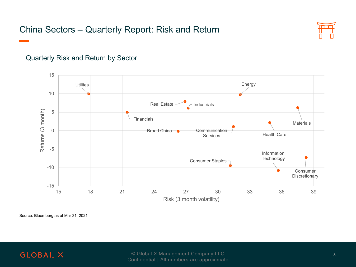# China Sectors – Quarterly Report: Risk and Return



#### Quarterly Risk and Return by Sector



Source: Bloomberg as of Mar 31, 2021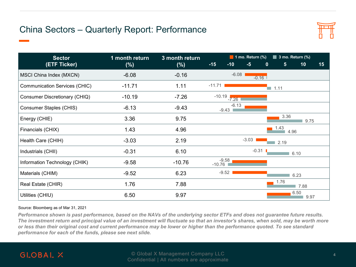# China Sectors – Quarterly Report: Performance



| <b>Sector</b>                        | 1 month return | 3 month return | $\blacksquare$ 1 mo. Return (%)<br>$\blacksquare$ 3 mo. Return (%) |                    |         |         |                     |              |    |
|--------------------------------------|----------------|----------------|--------------------------------------------------------------------|--------------------|---------|---------|---------------------|--------------|----|
| (ETF Ticker)                         | (%)            | $(\%)$         | $-15$                                                              | $-10$              | $-5$    | 0       | 5                   | 10           | 15 |
| MSCI China Index (MXCN)              | $-6.08$        | $-0.16$        |                                                                    | $-6.08$            |         | $-0.16$ |                     |              |    |
| <b>Communication Services (CHIC)</b> | $-11.71$       | 1.11           | $-11.71$                                                           |                    |         |         | $\blacksquare$ 1.11 |              |    |
| Consumer Discretionary (CHIQ)        | $-10.19$       | $-7.26$        | $-10.19$                                                           | $-7.26$            |         |         |                     |              |    |
| Consumer Staples (CHIS)              | $-6.13$        | $-9.43$        |                                                                    | $-6.13$<br>$-9.43$ |         |         |                     |              |    |
| Energy (CHIE)                        | 3.36           | 9.75           |                                                                    |                    |         |         | 3.36                | 9.75         |    |
| Financials (CHIX)                    | 1.43           | 4.96           |                                                                    |                    |         |         | 1.43<br>4.96        |              |    |
| Health Care (CHIH)                   | $-3.03$        | 2.19           |                                                                    |                    | $-3.03$ |         | 2.19                |              |    |
| Industrials (CHII)                   | $-0.31$        | 6.10           |                                                                    |                    |         | $-0.31$ |                     | 6.10         |    |
| Information Technology (CHIK)        | $-9.58$        | $-10.76$       | $-10.76$                                                           | $-9.58$            |         |         |                     |              |    |
| Materials (CHIM)                     | $-9.52$        | 6.23           |                                                                    | $-9.52$            |         |         |                     | 6.23         |    |
| Real Estate (CHIR)                   | 1.76           | 7.88           |                                                                    |                    |         |         | 1.76                | 7.88         |    |
| Utilities (CHIU)                     | 6.50           | 9.97           |                                                                    |                    |         |         |                     | 6.50<br>9.97 |    |

#### Source: Bloomberg as of Mar 31, 2021

*Performance shown is past performance, based on the NAVs of the underlying sector ETFs and does not guarantee future results. The investment return and principal value of an investment will fluctuate so that an investor's shares, when sold, may be worth more or less than their original cost and current performance may be lower or higher than the performance quoted. To see standard performance for each of the funds, please see next slide.*

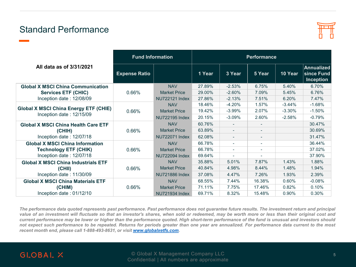### Standard Performance



|                                                                          | <b>Fund Information</b> | <b>Performance</b>    |        |                          |                          |          |                                                     |  |
|--------------------------------------------------------------------------|-------------------------|-----------------------|--------|--------------------------|--------------------------|----------|-----------------------------------------------------|--|
| All data as of 3/31/2021                                                 | <b>Expense Ratio</b>    |                       | 1 Year | 3 Year                   | 5 Year                   | 10 Year  | <b>Annualized</b><br>since Fund<br><b>Inception</b> |  |
| <b>Global X MSCI China Communication</b>                                 |                         | <b>NAV</b>            | 27.89% | $-2.53%$                 | 6.75%                    | 5.40%    | 6.70%                                               |  |
| <b>Services ETF (CHIC)</b>                                               | 0.66%                   | <b>Market Price</b>   | 29.00% | $-2.60%$                 | 7.09%                    | 5.45%    | 6.76%                                               |  |
| Inception date: 12/08/09                                                 |                         | NU722121 Index        | 27.86% | $-2.13%$                 | 7.51%                    | 6.20%    | 7.47%                                               |  |
| <b>Global X MSCI China Energy ETF (CHIE)</b><br>Inception date: 12/15/09 |                         | <b>NAV</b>            | 18.46% | $-4.20%$                 | 1.57%                    | $-3.44%$ | $-1.68%$                                            |  |
|                                                                          | 0.66%                   | <b>Market Price</b>   | 19.42% | $-3.99%$                 | 2.07%                    | $-3.30%$ | $-1.50%$                                            |  |
|                                                                          |                         | <b>NU722195 Index</b> | 20.15% | $-3.09%$                 | 2.60%                    | $-2.58%$ | $-0.79%$                                            |  |
| <b>Global X MSCI China Health Care ETF</b>                               | 0.66%                   | <b>NAV</b>            | 60.76% |                          | $\overline{\phantom{a}}$ |          | 30.47%                                              |  |
| (CHIH)                                                                   |                         | <b>Market Price</b>   | 63.89% | $\overline{\phantom{a}}$ | $\overline{\phantom{a}}$ |          | 30.69%                                              |  |
| Inception date: 12/07/18                                                 |                         | <b>NU722071 Index</b> | 62.08% | $\overline{\phantom{a}}$ | $\overline{\phantom{a}}$ |          | 31.47%                                              |  |
| <b>Global X MSCI China Information</b>                                   |                         | <b>NAV</b>            | 66.78% | $\blacksquare$           | $\overline{\phantom{a}}$ |          | 36.44%                                              |  |
| <b>Technology ETF (CHIK)</b>                                             | 0.66%                   | <b>Market Price</b>   | 66.78% |                          | ۰                        |          | 37.02%                                              |  |
| Inception date: 12/07/18                                                 |                         | NU722094 Index        | 69.64% |                          | ۰                        |          | 37.90%                                              |  |
| <b>Global X MSCI China Industrials ETF</b>                               |                         | <b>NAV</b>            | 35.88% | 5.01%                    | 7.87%                    | 1.43%    | 1.88%                                               |  |
| (CHII)                                                                   | 0.66%                   | <b>Market Price</b>   | 40.84% | 4.98%                    | 8.44%                    | 1.48%    | 1.94%                                               |  |
| Inception date: 11/30/09                                                 |                         | <b>NU721886 Index</b> | 37.08% | 4.47%                    | 7.26%                    | 1.93%    | 2.39%                                               |  |
| <b>Global X MSCI China Materials ETF</b>                                 |                         | <b>NAV</b>            | 68.55% | 7.44%                    | 16.38%                   | 0.60%    | $-0.08%$                                            |  |
| (CHIM)                                                                   | 0.66%                   | <b>Market Price</b>   | 71.11% | 7.75%                    | 17.46%                   | 0.82%    | 0.10%                                               |  |
| Inception date: 01/12/10                                                 |                         | NU721934 Index        | 69.71% | 8.32%                    | 15.48%                   | 0.90%    | 0.30%                                               |  |

The performance data quoted represents past performance. Past performance does not guarantee future results. The investment return and principal value of an investment will fluctuate so that an investor's shares, when sold or redeemed, may be worth more or less than their original cost and current performance may be lower or higher than the performance quoted. High short-term performance of the fund is unusual and investors should not expect such performance to be repeated. Returns for periods greater than one year are annualized. For performance data current to the most *recent month end, please call 1-888-493-8631, or visit [www.globalxetfs.com](http://www.globalxfunds.com/).*

#### **GLOBAL X**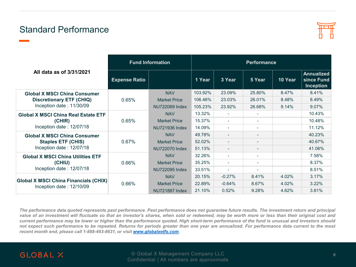### Standard Performance



|                                                                                  | <b>Fund Information</b> | <b>Performance</b>  |         |                          |                          |         |                                                     |  |
|----------------------------------------------------------------------------------|-------------------------|---------------------|---------|--------------------------|--------------------------|---------|-----------------------------------------------------|--|
| All data as of 3/31/2021                                                         | <b>Expense Ratio</b>    |                     | 1 Year  | 3 Year                   | 5 Year                   | 10 Year | <b>Annualized</b><br>since Fund<br><b>Inception</b> |  |
| <b>Global X MSCI China Consumer</b>                                              |                         | <b>NAV</b>          | 103.92% | 23.09%                   | 25.80%                   | 8.47%   | 8.41%                                               |  |
| <b>Discretionary ETF (CHIQ)</b>                                                  | 0.65%                   | <b>Market Price</b> | 106.46% | 23.03%                   | 26.01%                   | 8.48%   | 8.49%                                               |  |
| Inception date: 11/30/09                                                         |                         | NU722069 Index      | 105.23% | 23.92%                   | 26.68%                   | 9.14%   | 9.07%                                               |  |
| <b>Global X MSCI China Real Estate ETF</b><br>(CHIR)<br>Inception date: 12/07/18 | 0.65%                   | <b>NAV</b>          | 13.32%  | $\overline{\phantom{a}}$ | $\overline{\phantom{a}}$ |         | 10.43%                                              |  |
|                                                                                  |                         | <b>Market Price</b> | 15.37%  | $\overline{\phantom{a}}$ | $\overline{\phantom{a}}$ |         | 10.48%                                              |  |
|                                                                                  |                         | NU721936 Index      | 14.09%  | $\overline{\phantom{a}}$ | $\overline{\phantom{a}}$ |         | 11.12%                                              |  |
| <b>Global X MSCI China Consumer</b><br><b>Staples ETF (CHIS)</b>                 |                         | <b>NAV</b>          | 49.78%  | $\overline{\phantom{a}}$ | $\overline{\phantom{0}}$ |         | 40.23%                                              |  |
|                                                                                  | 0.67%                   | <b>Market Price</b> | 52.02%  |                          | $\overline{\phantom{a}}$ |         | 40.67%                                              |  |
| Inception date: 12/07/18                                                         |                         | NU722070 Index      | 51.13%  | $\overline{\phantom{a}}$ | $\overline{\phantom{0}}$ |         | 41.06%                                              |  |
| <b>Global X MSCI China Utilities ETF</b><br>(CHIU)<br>Inception date: 12/07/18   | 0.66%                   | <b>NAV</b>          | 32.26%  | $\overline{\phantom{0}}$ | $\overline{\phantom{a}}$ |         | 7.58%                                               |  |
|                                                                                  |                         | <b>Market Price</b> | 35.25%  | $\sim$                   | $\sim$                   |         | 8.37%                                               |  |
|                                                                                  |                         | NU722095 Index      | 33.51%  | $\overline{\phantom{a}}$ | $\blacksquare$           |         | 8.51%                                               |  |
|                                                                                  | 0.66%                   | <b>NAV</b>          | 20.15%  | $-0.27%$                 | 8.41%                    | 4.02%   | 3.17%                                               |  |
| <b>Global X MSCI China Financials (CHIX)</b>                                     |                         | <b>Market Price</b> | 22.89%  | $-0.64%$                 | 8.67%                    | 4.02%   | 3.22%                                               |  |
| Inception date: $12/10/09$                                                       |                         | NU721887 Index      | 21.10%  | 0.52%                    | 9.28%                    | 4.62%   | 3.81%                                               |  |

The performance data quoted represents past performance. Past performance does not guarantee future results. The investment return and principal value of an investment will fluctuate so that an investor's shares, when sold or redeemed, may be worth more or less than their original cost and current performance may be lower or higher than the performance quoted. High short-term performance of the fund is unusual and investors should not expect such performance to be repeated. Returns for periods greater than one year are annualized. For performance data current to the most *recent month end, please call 1-888-493-8631, or visit [www.globalxetfs.com](http://www.globalxfunds.com/).*

#### **GLOBAL X**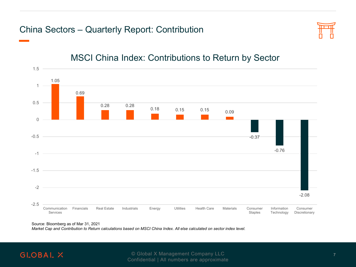### China Sectors – Quarterly Report: Contribution



### MSCI China Index: Contributions to Return by Sector



Source: Bloomberg as of Mar 31, 2021

*Market Cap and Contribution to Return calculations based on MSCI China Index. All else calculated on sector index level.*

### **GLOBAL X**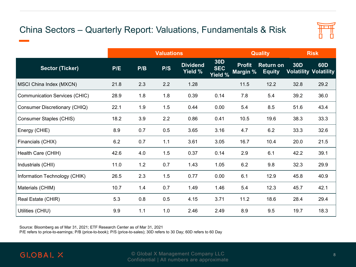# China Sectors – Quarterly Report: Valuations, Fundamentals & Risk



|                                      | <b>Valuations</b> |     |     |                            |                                     |                           | <b>Quality</b>                    | <b>Risk</b> |                                                 |
|--------------------------------------|-------------------|-----|-----|----------------------------|-------------------------------------|---------------------------|-----------------------------------|-------------|-------------------------------------------------|
| <b>Sector (Ticker)</b>               | P/E               | P/B | P/S | <b>Dividend</b><br>Yield % | <b>30D</b><br><b>SEC</b><br>Yield % | <b>Profit</b><br>Margin % | <b>Return on</b><br><b>Equity</b> | <b>30D</b>  | 60 <sub>D</sub><br><b>Volatility Volatility</b> |
| MSCI China Index (MXCN)              | 21.8              | 2.3 | 2.2 | 1.28                       |                                     | 11.5                      | 12.2                              | 32.8        | 29.2                                            |
| <b>Communication Services (CHIC)</b> | 28.9              | 1.8 | 1.8 | 0.39                       | 0.14                                | 7.8                       | 5.4                               | 39.2        | 36.0                                            |
| Consumer Discretionary (CHIQ)        | 22.1              | 1.9 | 1.5 | 0.44                       | 0.00                                | 5.4                       | 8.5                               | 51.6        | 43.4                                            |
| Consumer Staples (CHIS)              | 18.2              | 3.9 | 2.2 | 0.86                       | 0.41                                | 10.5                      | 19.6                              | 38.3        | 33.3                                            |
| Energy (CHIE)                        | 8.9               | 0.7 | 0.5 | 3.65                       | 3.16                                | 4.7                       | 6.2                               | 33.3        | 32.6                                            |
| Financials (CHIX)                    | 6.2               | 0.7 | 1.1 | 3.61                       | 3.05                                | 16.7                      | 10.4                              | 20.0        | 21.5                                            |
| Health Care (CHIH)                   | 42.6              | 4.0 | 1.5 | 0.37                       | 0.14                                | 2.9                       | 6.1                               | 42.2        | 39.1                                            |
| Industrials (CHII)                   | 11.0              | 1.2 | 0.7 | 1.43                       | 1.05                                | 6.2                       | 9.8                               | 32.3        | 29.9                                            |
| Information Technology (CHIK)        | 26.5              | 2.3 | 1.5 | 0.77                       | 0.00                                | 6.1                       | 12.9                              | 45.8        | 40.9                                            |
| Materials (CHIM)                     | 10.7              | 1.4 | 0.7 | 1.49                       | 1.46                                | 5.4                       | 12.3                              | 45.7        | 42.1                                            |
| Real Estate (CHIR)                   | 5.3               | 0.8 | 0.5 | 4.15                       | 3.71                                | 11.2                      | 18.6                              | 28.4        | 29.4                                            |
| Utilities (CHIU)                     | 9.9               | 1.1 | 1.0 | 2.46                       | 2.49                                | 8.9                       | 9.5                               | 19.7        | 18.3                                            |

Source: Bloomberg as of Mar 31, 2021; ETF Research Center as of Mar 31, 2021

P/E refers to price-to-earnings; P/B (price-to-book); P/S (price-to-sales); 30D refers to 30 Day; 60D refers to 60 Day

### **GLOBAL X**

**Proprietary & Confidential Company LLC** 8 and 20 and 20 and 20 and 20 and 20 and 20 and 20 and 20 and 20 and 20 and 20 and 20 and 20 and 20 and 20 and 20 and 20 and 20 and 20 and 20 and 20 and 20 and 20 and 20 and 20 and Confidential | All numbers are approximate